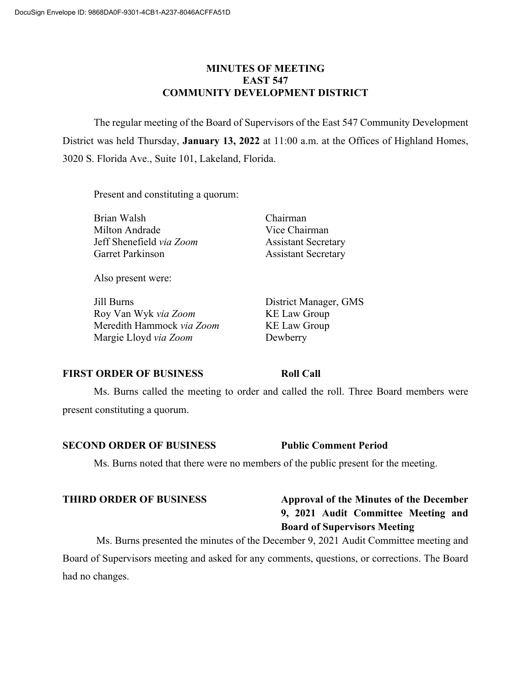#### **MINUTES OF MEETING EAST 547 COMMUNITY DEVELOPMENT DISTRICT**

The regular meeting of the Board of Supervisors of the East 547 Community Development District was held Thursday, **January 13, 2022** at 11:00 a.m. at the Offices of Highland Homes, 3020 S. Florida Ave., Suite 101, Lakeland, Florida.

Present and constituting a quorum:

Brian Walsh Chairman Milton Andrade Vice Chairman Jeff Shenefield *via Zoom* Assistant Secretary Garret Parkinson **Assistant Secretary** 

Also present were:

Jill Burns District Manager, GMS Roy Van Wyk *via Zoom* KE Law Group Meredith Hammock *via Zoom* KE Law Group Margie Lloyd *via Zoom* Dewberry

#### **FIRST ORDER OF BUSINESS Roll Call**

Ms. Burns called the meeting to order and called the roll. Three Board members were present constituting a quorum.

#### **SECOND ORDER OF BUSINESS Public Comment Period**

Ms. Burns noted that there were no members of the public present for the meeting.

## **THIRD ORDER OF BUSINESS Approval of the Minutes of the December 9, 2021 Audit Committee Meeting and Board of Supervisors Meeting**

Ms. Burns presented the minutes of the December 9, 2021 Audit Committee meeting and Board of Supervisors meeting and asked for any comments, questions, or corrections. The Board had no changes.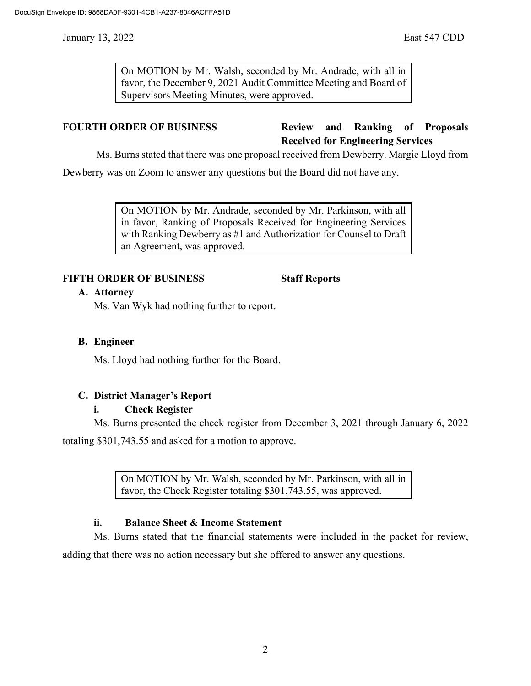January 13, 2022 East 547 CDD

On MOTION by Mr. Walsh, seconded by Mr. Andrade, with all in favor, the December 9, 2021 Audit Committee Meeting and Board of Supervisors Meeting Minutes, were approved.

# **FOURTH ORDER OF BUSINESS Review and Ranking of Proposals Received for Engineering Services**

Ms. Burns stated that there was one proposal received from Dewberry. Margie Lloyd from

Dewberry was on Zoom to answer any questions but the Board did not have any.

On MOTION by Mr. Andrade, seconded by Mr. Parkinson, with all in favor, Ranking of Proposals Received for Engineering Services with Ranking Dewberry as #1 and Authorization for Counsel to Draft an Agreement, was approved.

### **FIFTH ORDER OF BUSINESS Staff Reports**

### **A. Attorney**

Ms. Van Wyk had nothing further to report.

## **B. Engineer**

Ms. Lloyd had nothing further for the Board.

# **C. District Manager's Report**

### **i. Check Register**

Ms. Burns presented the check register from December 3, 2021 through January 6, 2022

totaling \$301,743.55 and asked for a motion to approve.

On MOTION by Mr. Walsh, seconded by Mr. Parkinson, with all in favor, the Check Register totaling \$301,743.55, was approved.

### **ii. Balance Sheet & Income Statement**

Ms. Burns stated that the financial statements were included in the packet for review,

adding that there was no action necessary but she offered to answer any questions.